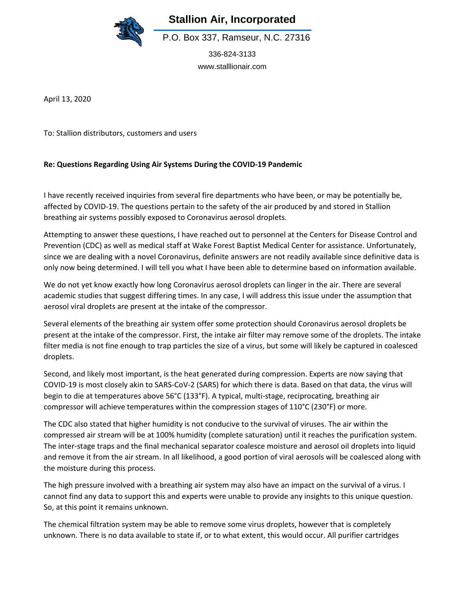

**Stallion Air, Incorporated**

P.O. Box 337, Ramseur, N.C. 27316

336-824-3133 www.stalllionair.com

April 13, 2020

To: Stallion distributors, customers and users

## **Re: Questions Regarding Using Air Systems During the COVID-19 Pandemic**

I have recently received inquiries from several fire departments who have been, or may be potentially be, affected by COVID-19. The questions pertain to the safety of the air produced by and stored in Stallion breathing air systems possibly exposed to Coronavirus aerosol droplets.

Attempting to answer these questions, I have reached out to personnel at the Centers for Disease Control and Prevention (CDC) as well as medical staff at Wake Forest Baptist Medical Center for assistance. Unfortunately, since we are dealing with a novel Coronavirus, definite answers are not readily available since definitive data is only now being determined. I will tell you what I have been able to determine based on information available.

We do not yet know exactly how long Coronavirus aerosol droplets can linger in the air. There are several academic studies that suggest differing times. In any case, I will address this issue under the assumption that aerosol viral droplets are present at the intake of the compressor.

Several elements of the breathing air system offer some protection should Coronavirus aerosol droplets be present at the intake of the compressor. First, the intake air filter may remove some of the droplets. The intake filter media is not fine enough to trap particles the size of a virus, but some will likely be captured in coalesced droplets.

Second, and likely most important, is the heat generated during compression. Experts are now saying that COVID-19 is most closely akin to SARS-CoV-2 (SARS) for which there is data. Based on that data, the virus will begin to die at temperatures above 56°C (133°F). A typical, multi-stage, reciprocating, breathing air compressor will achieve temperatures within the compression stages of 110°C (230°F) or more.

The CDC also stated that higher humidity is not conducive to the survival of viruses. The air within the compressed air stream will be at 100% humidity (complete saturation) until it reaches the purification system. The inter-stage traps and the final mechanical separator coalesce moisture and aerosol oil droplets into liquid and remove it from the air stream. In all likelihood, a good portion of viral aerosols will be coalesced along with the moisture during this process.

The high pressure involved with a breathing air system may also have an impact on the survival of a virus. I cannot find any data to support this and experts were unable to provide any insights to this unique question. So, at this point it remains unknown.

The chemical filtration system may be able to remove some virus droplets, however that is completely unknown. There is no data available to state if, or to what extent, this would occur. All purifier cartridges